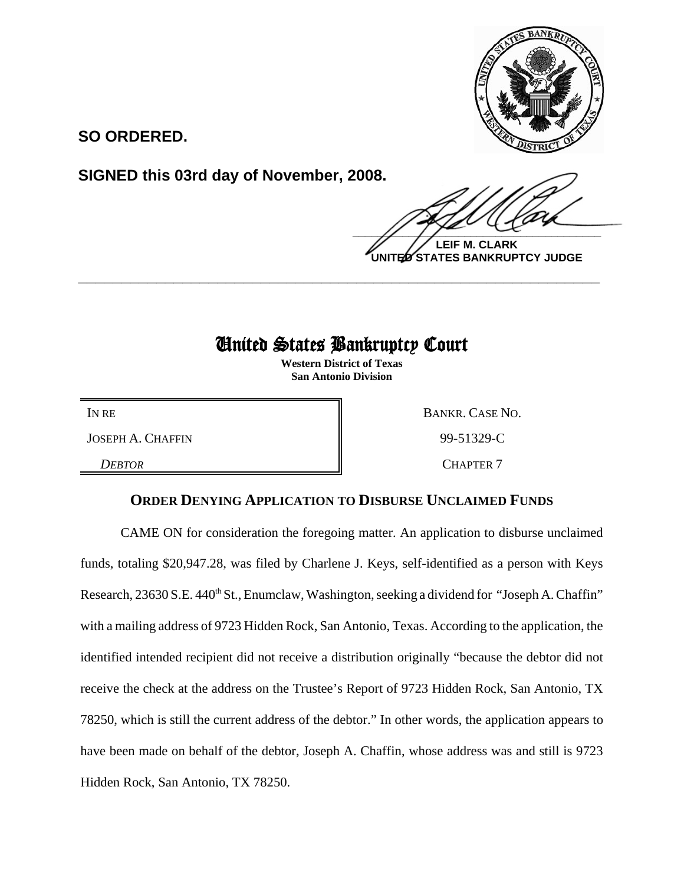

**SO ORDERED.**

**SIGNED this 03rd day of November, 2008.**

 $\frac{1}{2}$ 

**LEIF M. CLARK UNITED STATES BANKRUPTCY JUDGE**

## United States Bankruptcy Court

**\_\_\_\_\_\_\_\_\_\_\_\_\_\_\_\_\_\_\_\_\_\_\_\_\_\_\_\_\_\_\_\_\_\_\_\_\_\_\_\_\_\_\_\_\_\_\_\_\_\_\_\_\_\_\_\_\_\_\_\_**

**Western District of Texas San Antonio Division**

JOSEPH A. CHAFFIN 99-51329-C

**DEBTOR** CHAPTER 7

IN RE BANKR. CASE NO.

## **ORDER DENYING APPLICATION TO DISBURSE UNCLAIMED FUNDS**

CAME ON for consideration the foregoing matter. An application to disburse unclaimed funds, totaling \$20,947.28, was filed by Charlene J. Keys, self-identified as a person with Keys Research, 23630 S.E. 440<sup>th</sup> St., Enumclaw, Washington, seeking a dividend for "Joseph A. Chaffin" with a mailing address of 9723 Hidden Rock, San Antonio, Texas. According to the application, the identified intended recipient did not receive a distribution originally "because the debtor did not receive the check at the address on the Trustee's Report of 9723 Hidden Rock, San Antonio, TX 78250, which is still the current address of the debtor." In other words, the application appears to have been made on behalf of the debtor, Joseph A. Chaffin, whose address was and still is 9723 Hidden Rock, San Antonio, TX 78250.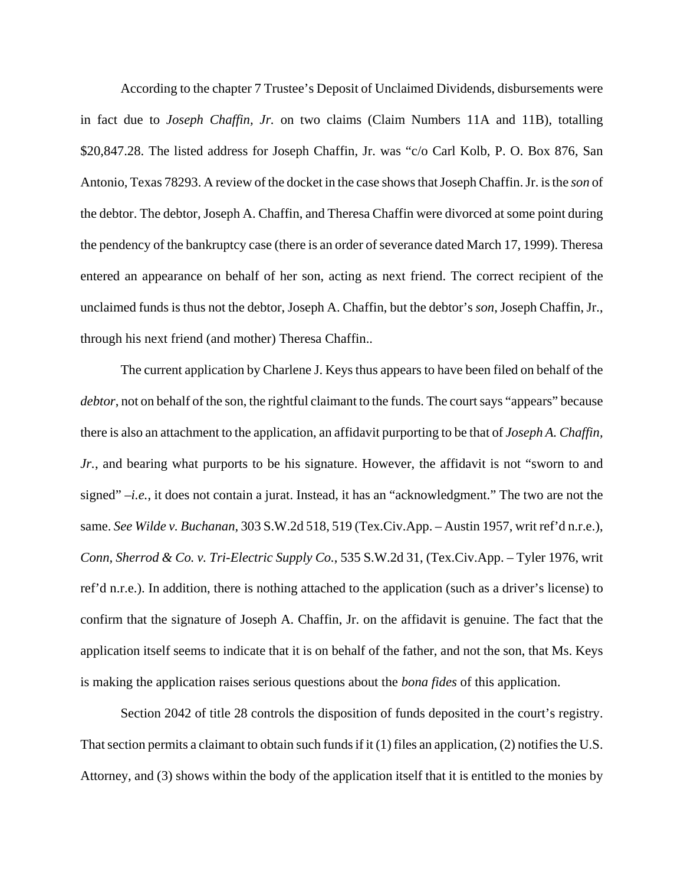According to the chapter 7 Trustee's Deposit of Unclaimed Dividends, disbursements were in fact due to *Joseph Chaffin, Jr.* on two claims (Claim Numbers 11A and 11B), totalling \$20,847.28. The listed address for Joseph Chaffin, Jr. was "c/o Carl Kolb, P. O. Box 876, San Antonio, Texas 78293. A review of the docket in the case shows that Joseph Chaffin. Jr. is the *son* of the debtor. The debtor, Joseph A. Chaffin, and Theresa Chaffin were divorced at some point during the pendency of the bankruptcy case (there is an order of severance dated March 17, 1999). Theresa entered an appearance on behalf of her son, acting as next friend. The correct recipient of the unclaimed funds is thus not the debtor, Joseph A. Chaffin, but the debtor's *son*, Joseph Chaffin, Jr., through his next friend (and mother) Theresa Chaffin..

The current application by Charlene J. Keys thus appears to have been filed on behalf of the *debtor*, not on behalf of the son, the rightful claimant to the funds. The court says "appears" because there is also an attachment to the application, an affidavit purporting to be that of *Joseph A. Chaffin, Jr.*, and bearing what purports to be his signature. However, the affidavit is not "sworn to and signed" –*i.e.*, it does not contain a jurat. Instead, it has an "acknowledgment." The two are not the same. *See Wilde v. Buchanan*, 303 S.W.2d 518, 519 (Tex.Civ.App. – Austin 1957, writ ref'd n.r.e.), *Conn, Sherrod & Co. v. Tri-Electric Supply Co.*, 535 S.W.2d 31, (Tex.Civ.App. – Tyler 1976, writ ref'd n.r.e.). In addition, there is nothing attached to the application (such as a driver's license) to confirm that the signature of Joseph A. Chaffin, Jr. on the affidavit is genuine. The fact that the application itself seems to indicate that it is on behalf of the father, and not the son, that Ms. Keys is making the application raises serious questions about the *bona fides* of this application.

Section 2042 of title 28 controls the disposition of funds deposited in the court's registry. That section permits a claimant to obtain such funds if it (1) files an application, (2) notifies the U.S. Attorney, and (3) shows within the body of the application itself that it is entitled to the monies by